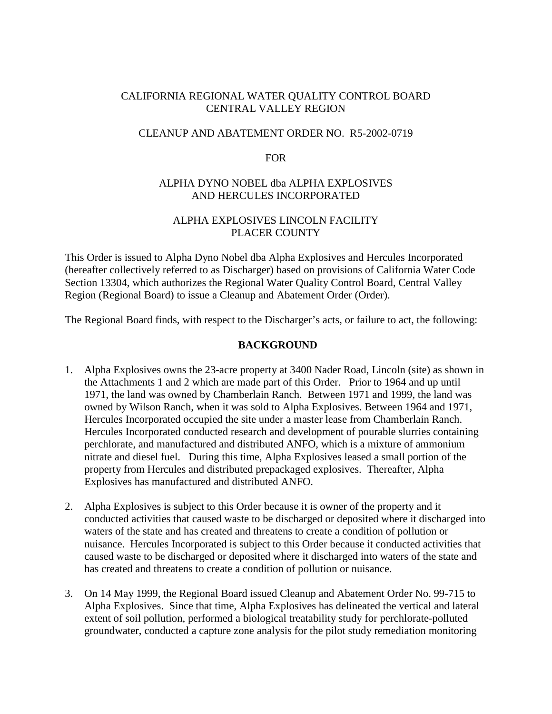## CALIFORNIA REGIONAL WATER QUALITY CONTROL BOARD CENTRAL VALLEY REGION

### CLEANUP AND ABATEMENT ORDER NO. R5-2002-0719

### FOR

## ALPHA DYNO NOBEL dba ALPHA EXPLOSIVES AND HERCULES INCORPORATED

## ALPHA EXPLOSIVES LINCOLN FACILITY PLACER COUNTY

This Order is issued to Alpha Dyno Nobel dba Alpha Explosives and Hercules Incorporated (hereafter collectively referred to as Discharger) based on provisions of California Water Code Section 13304, which authorizes the Regional Water Quality Control Board, Central Valley Region (Regional Board) to issue a Cleanup and Abatement Order (Order).

The Regional Board finds, with respect to the Discharger's acts, or failure to act, the following:

### **BACKGROUND**

- 1. Alpha Explosives owns the 23-acre property at 3400 Nader Road, Lincoln (site) as shown in the Attachments 1 and 2 which are made part of this Order. Prior to 1964 and up until 1971, the land was owned by Chamberlain Ranch. Between 1971 and 1999, the land was owned by Wilson Ranch, when it was sold to Alpha Explosives. Between 1964 and 1971, Hercules Incorporated occupied the site under a master lease from Chamberlain Ranch. Hercules Incorporated conducted research and development of pourable slurries containing perchlorate, and manufactured and distributed ANFO, which is a mixture of ammonium nitrate and diesel fuel. During this time, Alpha Explosives leased a small portion of the property from Hercules and distributed prepackaged explosives. Thereafter, Alpha Explosives has manufactured and distributed ANFO.
- 2. Alpha Explosives is subject to this Order because it is owner of the property and it conducted activities that caused waste to be discharged or deposited where it discharged into waters of the state and has created and threatens to create a condition of pollution or nuisance. Hercules Incorporated is subject to this Order because it conducted activities that caused waste to be discharged or deposited where it discharged into waters of the state and has created and threatens to create a condition of pollution or nuisance.
- 3. On 14 May 1999, the Regional Board issued Cleanup and Abatement Order No. 99-715 to Alpha Explosives. Since that time, Alpha Explosives has delineated the vertical and lateral extent of soil pollution, performed a biological treatability study for perchlorate-polluted groundwater, conducted a capture zone analysis for the pilot study remediation monitoring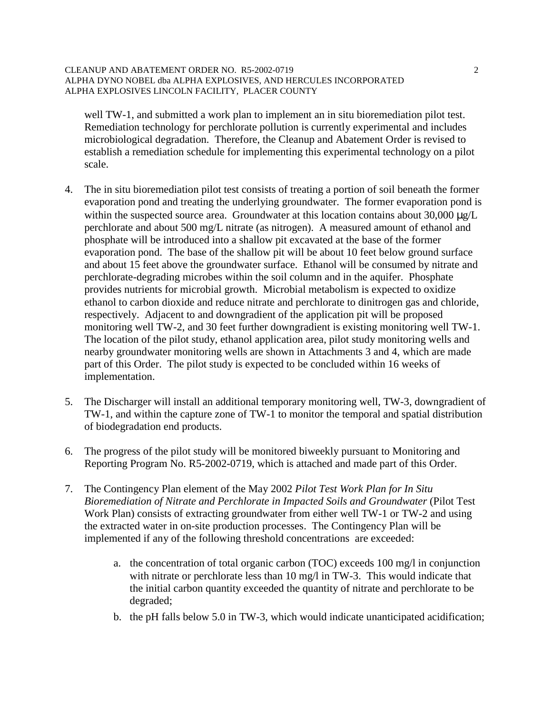#### CLEANUP AND ABATEMENT ORDER NO. R5-2002-0719 2 ALPHA DYNO NOBEL dba ALPHA EXPLOSIVES, AND HERCULES INCORPORATED ALPHA EXPLOSIVES LINCOLN FACILITY, PLACER COUNTY

well TW-1, and submitted a work plan to implement an in situ bioremediation pilot test. Remediation technology for perchlorate pollution is currently experimental and includes microbiological degradation. Therefore, the Cleanup and Abatement Order is revised to establish a remediation schedule for implementing this experimental technology on a pilot scale.

- 4. The in situ bioremediation pilot test consists of treating a portion of soil beneath the former evaporation pond and treating the underlying groundwater. The former evaporation pond is within the suspected source area. Groundwater at this location contains about  $30,000 \mu g/L$ perchlorate and about 500 mg/L nitrate (as nitrogen). A measured amount of ethanol and phosphate will be introduced into a shallow pit excavated at the base of the former evaporation pond. The base of the shallow pit will be about 10 feet below ground surface and about 15 feet above the groundwater surface. Ethanol will be consumed by nitrate and perchlorate-degrading microbes within the soil column and in the aquifer. Phosphate provides nutrients for microbial growth. Microbial metabolism is expected to oxidize ethanol to carbon dioxide and reduce nitrate and perchlorate to dinitrogen gas and chloride, respectively. Adjacent to and downgradient of the application pit will be proposed monitoring well TW-2, and 30 feet further downgradient is existing monitoring well TW-1. The location of the pilot study, ethanol application area, pilot study monitoring wells and nearby groundwater monitoring wells are shown in Attachments 3 and 4, which are made part of this Order. The pilot study is expected to be concluded within 16 weeks of implementation.
- 5. The Discharger will install an additional temporary monitoring well, TW-3, downgradient of TW-1, and within the capture zone of TW-1 to monitor the temporal and spatial distribution of biodegradation end products.
- 6. The progress of the pilot study will be monitored biweekly pursuant to Monitoring and Reporting Program No. R5-2002-0719, which is attached and made part of this Order.
- 7. The Contingency Plan element of the May 2002 *Pilot Test Work Plan for In Situ Bioremediation of Nitrate and Perchlorate in Impacted Soils and Groundwater* (Pilot Test Work Plan) consists of extracting groundwater from either well TW-1 or TW-2 and using the extracted water in on-site production processes. The Contingency Plan will be implemented if any of the following threshold concentrations are exceeded:
	- a. the concentration of total organic carbon (TOC) exceeds 100 mg/l in conjunction with nitrate or perchlorate less than 10 mg/l in TW-3. This would indicate that the initial carbon quantity exceeded the quantity of nitrate and perchlorate to be degraded;
	- b. the pH falls below 5.0 in TW-3, which would indicate unanticipated acidification;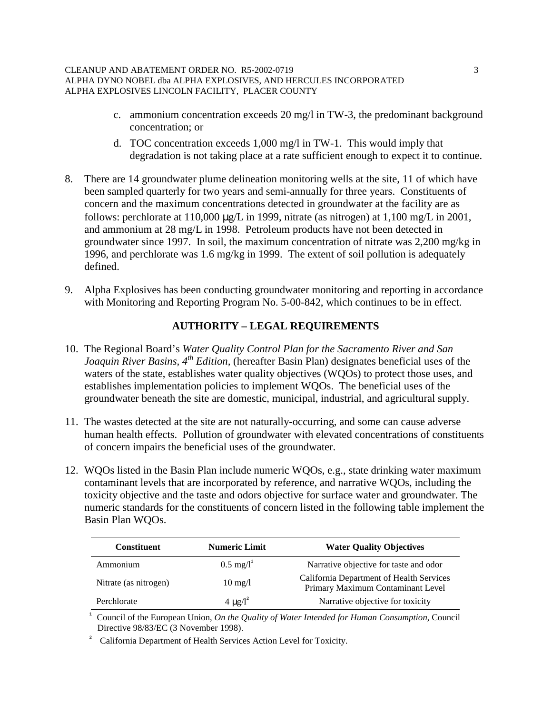#### CLEANUP AND ABATEMENT ORDER NO. R5-2002-0719 3 ALPHA DYNO NOBEL dba ALPHA EXPLOSIVES, AND HERCULES INCORPORATED ALPHA EXPLOSIVES LINCOLN FACILITY, PLACER COUNTY

- c. ammonium concentration exceeds 20 mg/l in TW-3, the predominant background concentration; or
- d. TOC concentration exceeds 1,000 mg/l in TW-1. This would imply that degradation is not taking place at a rate sufficient enough to expect it to continue.
- 8. There are 14 groundwater plume delineation monitoring wells at the site, 11 of which have been sampled quarterly for two years and semi-annually for three years. Constituents of concern and the maximum concentrations detected in groundwater at the facility are as follows: perchlorate at  $110,000 \mu g/L$  in 1999, nitrate (as nitrogen) at  $1,100 \mu g/L$  in 2001, and ammonium at 28 mg/L in 1998. Petroleum products have not been detected in groundwater since 1997. In soil, the maximum concentration of nitrate was 2,200 mg/kg in 1996, and perchlorate was 1.6 mg/kg in 1999. The extent of soil pollution is adequately defined.
- 9. Alpha Explosives has been conducting groundwater monitoring and reporting in accordance with Monitoring and Reporting Program No. 5-00-842, which continues to be in effect.

# **AUTHORITY – LEGAL REQUIREMENTS**

- 10. The Regional Board's *Water Quality Control Plan for the Sacramento River and San Joaquin River Basins, 4<sup>th</sup> Edition,* (hereafter Basin Plan) designates beneficial uses of the waters of the state, establishes water quality objectives (WQOs) to protect those uses, and establishes implementation policies to implement WQOs. The beneficial uses of the groundwater beneath the site are domestic, municipal, industrial, and agricultural supply.
- 11. The wastes detected at the site are not naturally-occurring, and some can cause adverse human health effects. Pollution of groundwater with elevated concentrations of constituents of concern impairs the beneficial uses of the groundwater.
- 12. WQOs listed in the Basin Plan include numeric WQOs, e.g., state drinking water maximum contaminant levels that are incorporated by reference, and narrative WQOs, including the toxicity objective and the taste and odors objective for surface water and groundwater. The numeric standards for the constituents of concern listed in the following table implement the Basin Plan WQOs.

| <b>Constituent</b>    | <b>Numeric Limit</b>     | <b>Water Quality Objectives</b>                                               |
|-----------------------|--------------------------|-------------------------------------------------------------------------------|
| Ammonium              | $0.5 \text{ mg/l}^1$     | Narrative objective for taste and odor                                        |
| Nitrate (as nitrogen) | $10 \text{ mg}/l$        | California Department of Health Services<br>Primary Maximum Contaminant Level |
| Perchlorate           | 4 $\mu$ g/l <sup>2</sup> | Narrative objective for toxicity                                              |

<sup>1</sup>Council of the European Union, *On the Quality of Water Intended for Human Consumption*, Council Directive 98/83/EC (3 November 1998).

2 California Department of Health Services Action Level for Toxicity.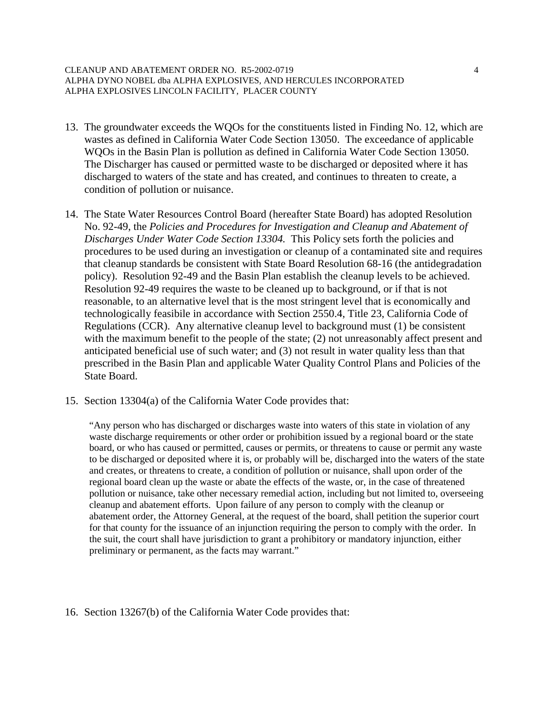#### CLEANUP AND ABATEMENT ORDER NO. R5-2002-0719 4 ALPHA DYNO NOBEL dba ALPHA EXPLOSIVES, AND HERCULES INCORPORATED ALPHA EXPLOSIVES LINCOLN FACILITY, PLACER COUNTY

- 13. The groundwater exceeds the WQOs for the constituents listed in Finding No. 12, which are wastes as defined in California Water Code Section 13050. The exceedance of applicable WQOs in the Basin Plan is pollution as defined in California Water Code Section 13050. The Discharger has caused or permitted waste to be discharged or deposited where it has discharged to waters of the state and has created, and continues to threaten to create, a condition of pollution or nuisance.
- 14. The State Water Resources Control Board (hereafter State Board) has adopted Resolution No. 92-49, the *Policies and Procedures for Investigation and Cleanup and Abatement of Discharges Under Water Code Section 13304.* This Policy sets forth the policies and procedures to be used during an investigation or cleanup of a contaminated site and requires that cleanup standards be consistent with State Board Resolution 68-16 (the antidegradation policy). Resolution 92-49 and the Basin Plan establish the cleanup levels to be achieved. Resolution 92-49 requires the waste to be cleaned up to background, or if that is not reasonable, to an alternative level that is the most stringent level that is economically and technologically feasibile in accordance with Section 2550.4, Title 23, California Code of Regulations (CCR). Any alternative cleanup level to background must (1) be consistent with the maximum benefit to the people of the state; (2) not unreasonably affect present and anticipated beneficial use of such water; and (3) not result in water quality less than that prescribed in the Basin Plan and applicable Water Quality Control Plans and Policies of the State Board.
- 15. Section 13304(a) of the California Water Code provides that:

"Any person who has discharged or discharges waste into waters of this state in violation of any waste discharge requirements or other order or prohibition issued by a regional board or the state board, or who has caused or permitted, causes or permits, or threatens to cause or permit any waste to be discharged or deposited where it is, or probably will be, discharged into the waters of the state and creates, or threatens to create, a condition of pollution or nuisance, shall upon order of the regional board clean up the waste or abate the effects of the waste, or, in the case of threatened pollution or nuisance, take other necessary remedial action, including but not limited to, overseeing cleanup and abatement efforts. Upon failure of any person to comply with the cleanup or abatement order, the Attorney General, at the request of the board, shall petition the superior court for that county for the issuance of an injunction requiring the person to comply with the order. In the suit, the court shall have jurisdiction to grant a prohibitory or mandatory injunction, either preliminary or permanent, as the facts may warrant."

16. Section 13267(b) of the California Water Code provides that: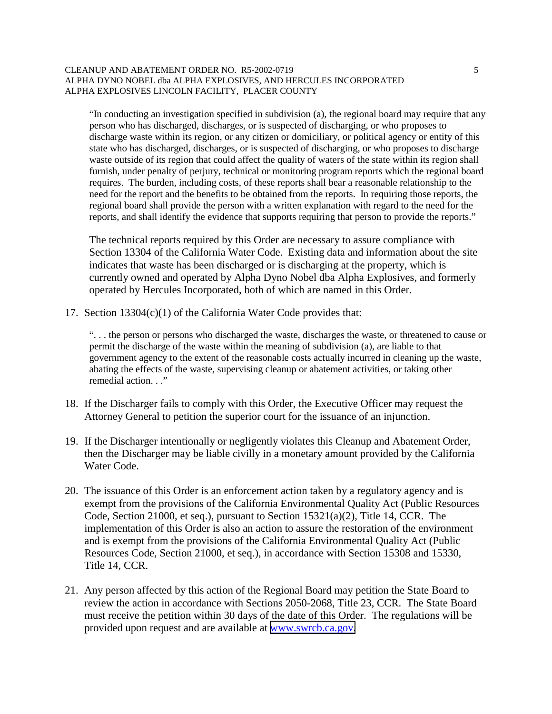#### CLEANUP AND ABATEMENT ORDER NO. R5-2002-0719 5 ALPHA DYNO NOBEL dba ALPHA EXPLOSIVES, AND HERCULES INCORPORATED ALPHA EXPLOSIVES LINCOLN FACILITY, PLACER COUNTY

"In conducting an investigation specified in subdivision (a), the regional board may require that any person who has discharged, discharges, or is suspected of discharging, or who proposes to discharge waste within its region, or any citizen or domiciliary, or political agency or entity of this state who has discharged, discharges, or is suspected of discharging, or who proposes to discharge waste outside of its region that could affect the quality of waters of the state within its region shall furnish, under penalty of perjury, technical or monitoring program reports which the regional board requires. The burden, including costs, of these reports shall bear a reasonable relationship to the need for the report and the benefits to be obtained from the reports. In requiring those reports, the regional board shall provide the person with a written explanation with regard to the need for the reports, and shall identify the evidence that supports requiring that person to provide the reports."

The technical reports required by this Order are necessary to assure compliance with Section 13304 of the California Water Code. Existing data and information about the site indicates that waste has been discharged or is discharging at the property, which is currently owned and operated by Alpha Dyno Nobel dba Alpha Explosives, and formerly operated by Hercules Incorporated, both of which are named in this Order.

17. Section 13304(c)(1) of the California Water Code provides that:

". . . the person or persons who discharged the waste, discharges the waste, or threatened to cause or permit the discharge of the waste within the meaning of subdivision (a), are liable to that government agency to the extent of the reasonable costs actually incurred in cleaning up the waste, abating the effects of the waste, supervising cleanup or abatement activities, or taking other remedial action. . ."

- 18. If the Discharger fails to comply with this Order, the Executive Officer may request the Attorney General to petition the superior court for the issuance of an injunction.
- 19. If the Discharger intentionally or negligently violates this Cleanup and Abatement Order, then the Discharger may be liable civilly in a monetary amount provided by the California Water Code.
- 20. The issuance of this Order is an enforcement action taken by a regulatory agency and is exempt from the provisions of the California Environmental Quality Act (Public Resources Code, Section 21000, et seq.), pursuant to Section 15321(a)(2), Title 14, CCR. The implementation of this Order is also an action to assure the restoration of the environment and is exempt from the provisions of the California Environmental Quality Act (Public Resources Code, Section 21000, et seq.), in accordance with Section 15308 and 15330, Title 14, CCR.
- 21. Any person affected by this action of the Regional Board may petition the State Board to review the action in accordance with Sections 2050-2068, Title 23, CCR. The State Board must receive the petition within 30 days of the date of this Order. The regulations will be provided upon request and are available at [www.swrcb.ca.gov.](http://www.swrcb.ca.gov/)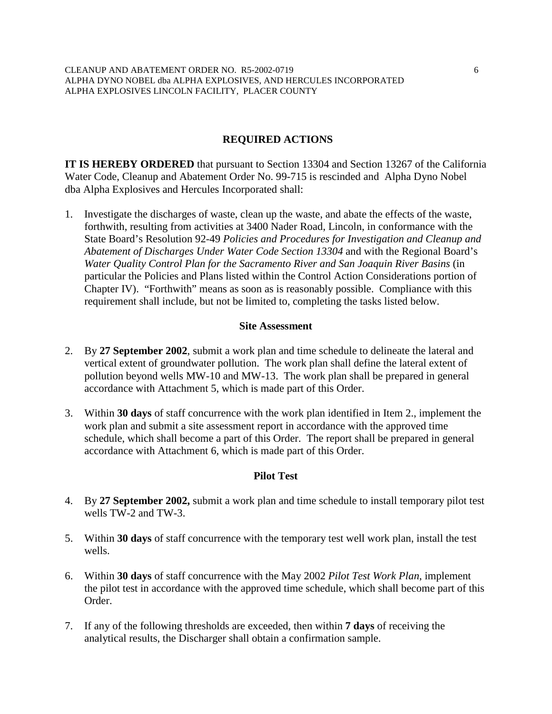## **REQUIRED ACTIONS**

**IT IS HEREBY ORDERED** that pursuant to Section 13304 and Section 13267 of the California Water Code, Cleanup and Abatement Order No. 99-715 is rescinded and Alpha Dyno Nobel dba Alpha Explosives and Hercules Incorporated shall:

1. Investigate the discharges of waste, clean up the waste, and abate the effects of the waste, forthwith, resulting from activities at 3400 Nader Road, Lincoln, in conformance with the State Board's Resolution 92-49 *Policies and Procedures for Investigation and Cleanup and Abatement of Discharges Under Water Code Section 13304* and with the Regional Board's *Water Quality Control Plan for the Sacramento River and San Joaquin River Basins* (in particular the Policies and Plans listed within the Control Action Considerations portion of Chapter IV). "Forthwith" means as soon as is reasonably possible. Compliance with this requirement shall include, but not be limited to, completing the tasks listed below.

### **Site Assessment**

- 2. By **27 September 2002**, submit a work plan and time schedule to delineate the lateral and vertical extent of groundwater pollution. The work plan shall define the lateral extent of pollution beyond wells MW-10 and MW-13. The work plan shall be prepared in general accordance with Attachment 5, which is made part of this Order.
- 3. Within **30 days** of staff concurrence with the work plan identified in Item 2., implement the work plan and submit a site assessment report in accordance with the approved time schedule, which shall become a part of this Order. The report shall be prepared in general accordance with Attachment 6, which is made part of this Order.

### **Pilot Test**

- 4. By **27 September 2002,** submit a work plan and time schedule to install temporary pilot test wells TW-2 and TW-3.
- 5. Within **30 days** of staff concurrence with the temporary test well work plan, install the test wells.
- 6. Within **30 days** of staff concurrence with the May 2002 *Pilot Test Work Plan*, implement the pilot test in accordance with the approved time schedule, which shall become part of this Order.
- 7. If any of the following thresholds are exceeded, then within **7 days** of receiving the analytical results, the Discharger shall obtain a confirmation sample.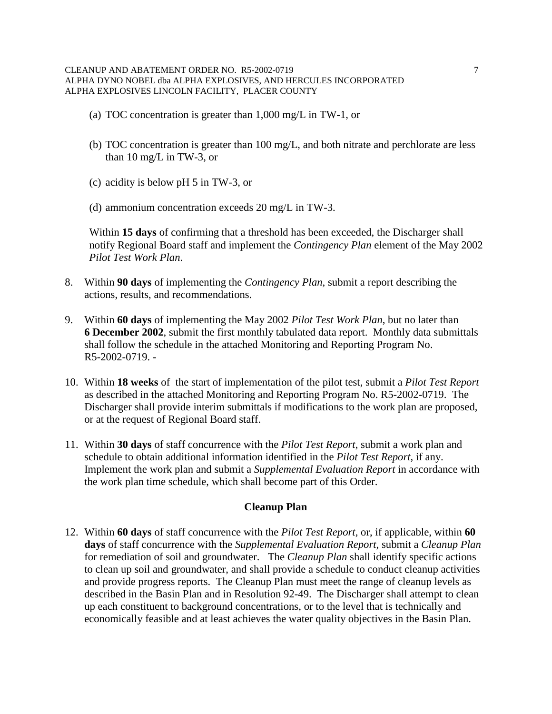- (a) TOC concentration is greater than 1,000 mg/L in TW-1, or
- (b) TOC concentration is greater than 100 mg/L, and both nitrate and perchlorate are less than 10 mg/L in TW-3, or
- (c) acidity is below pH 5 in TW-3, or
- (d) ammonium concentration exceeds 20 mg/L in TW-3.

Within **15 days** of confirming that a threshold has been exceeded, the Discharger shall notify Regional Board staff and implement the *Contingency Plan* element of the May 2002 *Pilot Test Work Plan*.

- 8. Within **90 days** of implementing the *Contingency Plan*, submit a report describing the actions, results, and recommendations.
- 9. Within **60 days** of implementing the May 2002 *Pilot Test Work Plan*, but no later than **6 December 2002**, submit the first monthly tabulated data report. Monthly data submittals shall follow the schedule in the attached Monitoring and Reporting Program No. R5-2002-0719. -
- 10. Within **18 weeks** of the start of implementation of the pilot test, submit a *Pilot Test Report* as described in the attached Monitoring and Reporting Program No. R5-2002-0719. The Discharger shall provide interim submittals if modifications to the work plan are proposed, or at the request of Regional Board staff.
- 11. Within **30 days** of staff concurrence with the *Pilot Test Report*, submit a work plan and schedule to obtain additional information identified in the *Pilot Test Report*, if any. Implement the work plan and submit a *Supplemental Evaluation Report* in accordance with the work plan time schedule, which shall become part of this Order.

## **Cleanup Plan**

12. Within **60 days** of staff concurrence with the *Pilot Test Report*, or, if applicable, within **60 days** of staff concurrence with the *Supplemental Evaluation Report*, submit a *Cleanup Plan* for remediation of soil and groundwater. The *Cleanup Plan* shall identify specific actions to clean up soil and groundwater, and shall provide a schedule to conduct cleanup activities and provide progress reports. The Cleanup Plan must meet the range of cleanup levels as described in the Basin Plan and in Resolution 92-49. The Discharger shall attempt to clean up each constituent to background concentrations, or to the level that is technically and economically feasible and at least achieves the water quality objectives in the Basin Plan.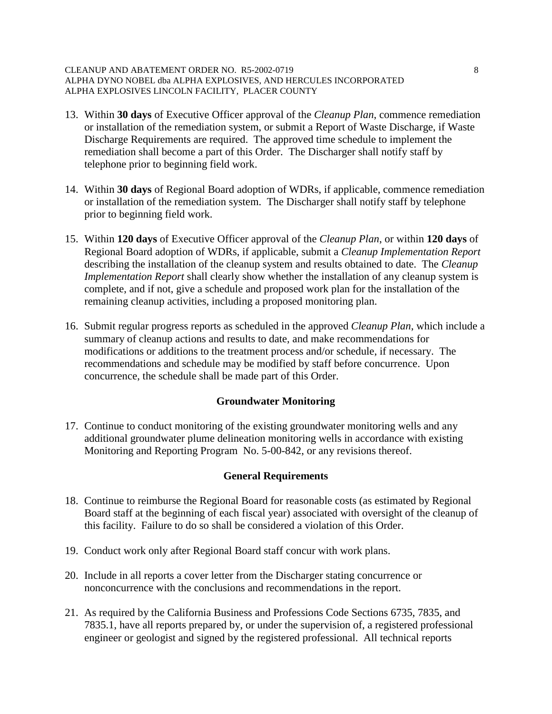#### CLEANUP AND ABATEMENT ORDER NO. R5-2002-0719 8 ALPHA DYNO NOBEL dba ALPHA EXPLOSIVES, AND HERCULES INCORPORATED ALPHA EXPLOSIVES LINCOLN FACILITY, PLACER COUNTY

- 13. Within **30 days** of Executive Officer approval of the *Cleanup Plan*, commence remediation or installation of the remediation system, or submit a Report of Waste Discharge, if Waste Discharge Requirements are required. The approved time schedule to implement the remediation shall become a part of this Order. The Discharger shall notify staff by telephone prior to beginning field work.
- 14. Within **30 days** of Regional Board adoption of WDRs, if applicable, commence remediation or installation of the remediation system. The Discharger shall notify staff by telephone prior to beginning field work.
- 15. Within **120 days** of Executive Officer approval of the *Cleanup Plan*, or within **120 days** of Regional Board adoption of WDRs, if applicable, submit a *Cleanup Implementation Report*  describing the installation of the cleanup system and results obtained to date. The *Cleanup Implementation Report* shall clearly show whether the installation of any cleanup system is complete, and if not, give a schedule and proposed work plan for the installation of the remaining cleanup activities, including a proposed monitoring plan.
- 16. Submit regular progress reports as scheduled in the approved *Cleanup Plan*, which include a summary of cleanup actions and results to date, and make recommendations for modifications or additions to the treatment process and/or schedule, if necessary. The recommendations and schedule may be modified by staff before concurrence. Upon concurrence, the schedule shall be made part of this Order.

## **Groundwater Monitoring**

17. Continue to conduct monitoring of the existing groundwater monitoring wells and any additional groundwater plume delineation monitoring wells in accordance with existing Monitoring and Reporting Program No. 5-00-842, or any revisions thereof.

# **General Requirements**

- 18. Continue to reimburse the Regional Board for reasonable costs (as estimated by Regional Board staff at the beginning of each fiscal year) associated with oversight of the cleanup of this facility. Failure to do so shall be considered a violation of this Order.
- 19. Conduct work only after Regional Board staff concur with work plans.
- 20. Include in all reports a cover letter from the Discharger stating concurrence or nonconcurrence with the conclusions and recommendations in the report.
- 21. As required by the California Business and Professions Code Sections 6735, 7835, and 7835.1, have all reports prepared by, or under the supervision of, a registered professional engineer or geologist and signed by the registered professional. All technical reports